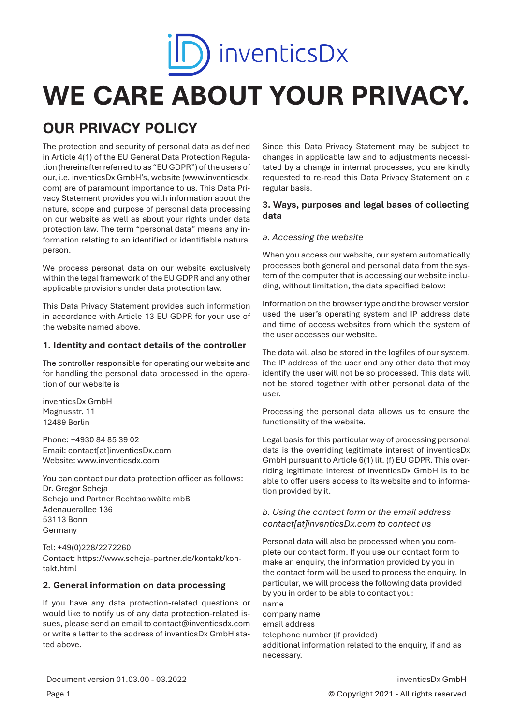

# **WE CARE ABOUT YOUR PRIVACY.**

# **OUR PRIVACY POLICY**

The protection and security of personal data as defined in Article 4(1) of the EU General Data Protection Regulation (hereinafter referred to as "EU GDPR") of the users of our, i.e. inventicsDx GmbH's, website (www.inventicsdx. com) are of paramount importance to us. This Data Privacy Statement provides you with information about the nature, scope and purpose of personal data processing on our website as well as about your rights under data protection law. The term "personal data" means any information relating to an identified or identifiable natural person.

We process personal data on our website exclusively within the legal framework of the EU GDPR and any other applicable provisions under data protection law.

This Data Privacy Statement provides such information in accordance with Article 13 EU GDPR for your use of the website named above.

#### **1. Identity and contact details of the controller**

The controller responsible for operating our website and for handling the personal data processed in the operation of our website is

inventicsDx GmbH Magnusstr. 11 12489 Berlin

Phone: +4930 84 85 39 02 Email: contact[at]inventicsDx.com Website: www.inventicsdx.com

You can contact our data protection officer as follows: Dr. Gregor Scheja Scheja und Partner Rechtsanwälte mbB Adenauerallee 136 53113 Bonn Germany

Tel: +49(0)228/2272260 Contact: https://www.scheja-partner.de/kontakt/kontakt.html

# **2. General information on data processing**

If you have any data protection-related questions or would like to notify us of any data protection-related issues, please send an email to contact@inventicsdx.com or write a letter to the address of inventicsDx GmbH stated above.

Since this Data Privacy Statement may be subject to changes in applicable law and to adjustments necessitated by a change in internal processes, you are kindly requested to re-read this Data Privacy Statement on a regular basis.

# **3. Ways, purposes and legal bases of collecting data**

#### *a. Accessing the website*

When you access our website, our system automatically processes both general and personal data from the system of the computer that is accessing our website including, without limitation, the data specified below:

Information on the browser type and the browser version used the user's operating system and IP address date and time of access websites from which the system of the user accesses our website.

The data will also be stored in the logfiles of our system. The IP address of the user and any other data that may identify the user will not be so processed. This data will not be stored together with other personal data of the user.

Processing the personal data allows us to ensure the functionality of the website.

Legal basis for this particular way of processing personal data is the overriding legitimate interest of inventicsDx GmbH pursuant to Article 6(1) lit. (f) EU GDPR. This overriding legitimate interest of inventicsDx GmbH is to be able to offer users access to its website and to information provided by it.

# *b. Using the contact form or the email address contact[at]inventicsDx.com to contact us*

Personal data will also be processed when you complete our contact form. If you use our contact form to make an enquiry, the information provided by you in the contact form will be used to process the enquiry. In particular, we will process the following data provided by you in order to be able to contact you: name company name email address telephone number (if provided) additional information related to the enquiry, if and as necessary.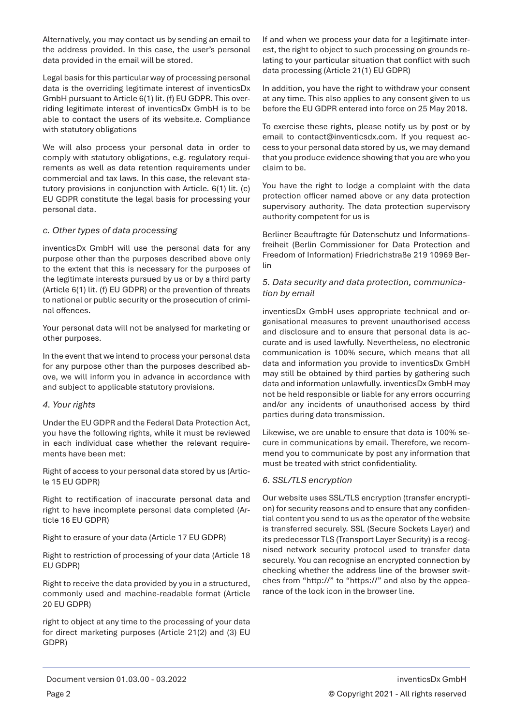Alternatively, you may contact us by sending an email to the address provided. In this case, the user's personal data provided in the email will be stored.

Legal basis for this particular way of processing personal data is the overriding legitimate interest of inventicsDx GmbH pursuant to Article 6(1) lit. (f) EU GDPR. This overriding legitimate interest of inventicsDx GmbH is to be able to contact the users of its website.e. Compliance with statutory obligations

We will also process your personal data in order to comply with statutory obligations, e.g. regulatory requirements as well as data retention requirements under commercial and tax laws. In this case, the relevant statutory provisions in conjunction with Article. 6(1) lit. (c) EU GDPR constitute the legal basis for processing your personal data.

### *c. Other types of data processing*

inventicsDx GmbH will use the personal data for any purpose other than the purposes described above only to the extent that this is necessary for the purposes of the legitimate interests pursued by us or by a third party (Article 6(1) lit. (f) EU GDPR) or the prevention of threats to national or public security or the prosecution of criminal offences.

Your personal data will not be analysed for marketing or other purposes.

In the event that we intend to process your personal data for any purpose other than the purposes described above, we will inform you in advance in accordance with and subject to applicable statutory provisions.

#### *4. Your rights*

Under the EU GDPR and the Federal Data Protection Act, you have the following rights, while it must be reviewed in each individual case whether the relevant requirements have been met:

Right of access to your personal data stored by us (Article 15 EU GDPR)

Right to rectification of inaccurate personal data and right to have incomplete personal data completed (Article 16 EU GDPR)

Right to erasure of your data (Article 17 EU GDPR)

Right to restriction of processing of your data (Article 18 EU GDPR)

Right to receive the data provided by you in a structured, commonly used and machine-readable format (Article 20 EU GDPR)

right to object at any time to the processing of your data for direct marketing purposes (Article 21(2) and (3) EU GDPR)

If and when we process your data for a legitimate interest, the right to object to such processing on grounds relating to your particular situation that conflict with such data processing (Article 21(1) EU GDPR)

In addition, you have the right to withdraw your consent at any time. This also applies to any consent given to us before the EU GDPR entered into force on 25 May 2018.

To exercise these rights, please notify us by post or by email to contact@inventicsdx.com. If you request access to your personal data stored by us, we may demand that you produce evidence showing that you are who you claim to be.

You have the right to lodge a complaint with the data protection officer named above or any data protection supervisory authority. The data protection supervisory authority competent for us is

Berliner Beauftragte für Datenschutz und Informationsfreiheit (Berlin Commissioner for Data Protection and Freedom of Information) Friedrichstraße 219 10969 Berlin

# *5. Data security and data protection, communication by email*

inventicsDx GmbH uses appropriate technical and organisational measures to prevent unauthorised access and disclosure and to ensure that personal data is accurate and is used lawfully. Nevertheless, no electronic communication is 100% secure, which means that all data and information you provide to inventicsDx GmbH may still be obtained by third parties by gathering such data and information unlawfully. inventicsDx GmbH may not be held responsible or liable for any errors occurring and/or any incidents of unauthorised access by third parties during data transmission.

Likewise, we are unable to ensure that data is 100% secure in communications by email. Therefore, we recommend you to communicate by post any information that must be treated with strict confidentiality.

# *6. SSL/TLS encryption*

Our website uses SSL/TLS encryption (transfer encryption) for security reasons and to ensure that any confidential content you send to us as the operator of the website is transferred securely. SSL (Secure Sockets Layer) and its predecessor TLS (Transport Layer Security) is a recognised network security protocol used to transfer data securely. You can recognise an encrypted connection by checking whether the address line of the browser switches from "http://" to "https://" and also by the appearance of the lock icon in the browser line.